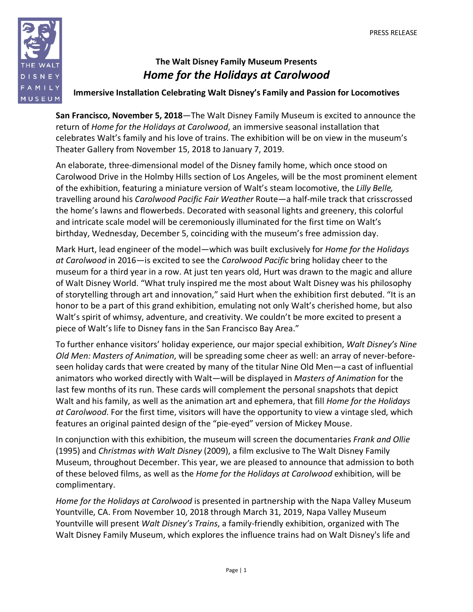

# **The Walt Disney Family Museum Presents** *Home for the Holidays at Carolwood*

# **Immersive Installation Celebrating Walt Disney's Family and Passion for Locomotives**

**San Francisco, November 5, 2018**—The Walt Disney Family Museum is excited to announce the return of *Home for the Holidays at Carolwood*, an immersive seasonal installation that celebrates Walt's family and his love of trains. The exhibition will be on view in the museum's Theater Gallery from November 15, 2018 to January 7, 2019.

An elaborate, three-dimensional model of the Disney family home, which once stood on Carolwood Drive in the Holmby Hills section of Los Angeles, will be the most prominent element of the exhibition, featuring a miniature version of Walt's steam locomotive, the *Lilly Belle,*  travelling around his *Carolwood Pacific Fair Weather* Route—a half-mile track that crisscrossed the home's lawns and flowerbeds. Decorated with seasonal lights and greenery, this colorful and intricate scale model will be ceremoniously illuminated for the first time on Walt's birthday, Wednesday, December 5, coinciding with the museum's free admission day.

Mark Hurt, lead engineer of the model—which was built exclusively for *Home for the Holidays at Carolwood* in 2016—is excited to see the *Carolwood Pacific* bring holiday cheer to the museum for a third year in a row. At just ten years old, Hurt was drawn to the magic and allure of Walt Disney World. "What truly inspired me the most about Walt Disney was his philosophy of storytelling through art and innovation," said Hurt when the exhibition first debuted. "It is an honor to be a part of this grand exhibition, emulating not only Walt's cherished home, but also Walt's spirit of whimsy, adventure, and creativity. We couldn't be more excited to present a piece of Walt's life to Disney fans in the San Francisco Bay Area."

To further enhance visitors' holiday experience, our major special exhibition, *Walt Disney's Nine Old Men: Masters of Animation*, will be spreading some cheer as well: an array of never-beforeseen holiday cards that were created by many of the titular Nine Old Men—a cast of influential animators who worked directly with Walt—will be displayed in *Masters of Animation* for the last few months of its run. These cards will complement the personal snapshots that depict Walt and his family, as well as the animation art and ephemera, that fill *Home for the Holidays at Carolwood*. For the first time, visitors will have the opportunity to view a vintage sled, which features an original painted design of the "pie-eyed" version of Mickey Mouse.

In conjunction with this exhibition, the museum will screen the documentaries *Frank and Ollie* (1995) and *Christmas with Walt Disney* (2009), a film exclusive to The Walt Disney Family Museum, throughout December. This year, we are pleased to announce that admission to both of these beloved films, as well as the *Home for the Holidays at Carolwood* exhibition, will be complimentary.

*Home for the Holidays at Carolwood* is presented in partnership with the Napa Valley Museum Yountville, CA. From November 10, 2018 through March 31, 2019, Napa Valley Museum Yountville will present *Walt Disney's Trains*, a family-friendly exhibition, organized with The Walt Disney Family Museum, which explores the influence trains had on Walt Disney's life and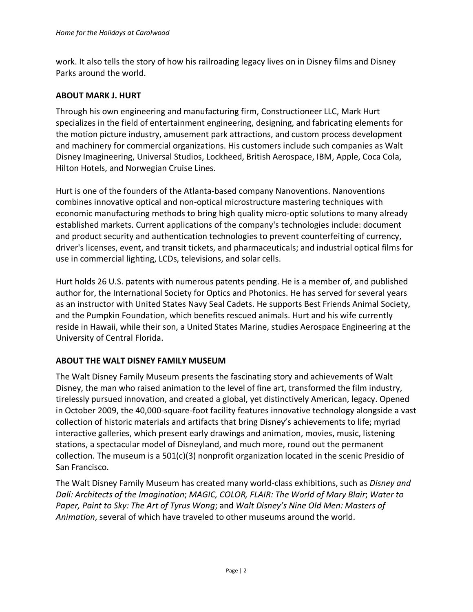work. It also tells the story of how his railroading legacy lives on in Disney films and Disney Parks around the world.

### **ABOUT MARK J. HURT**

Through his own engineering and manufacturing firm, Constructioneer LLC, Mark Hurt specializes in the field of entertainment engineering, designing, and fabricating elements for the motion picture industry, amusement park attractions, and custom process development and machinery for commercial organizations. His customers include such companies as Walt Disney Imagineering, Universal Studios, Lockheed, British Aerospace, IBM, Apple, Coca Cola, Hilton Hotels, and Norwegian Cruise Lines.

Hurt is one of the founders of the Atlanta-based company Nanoventions. Nanoventions combines innovative optical and non-optical microstructure mastering techniques with economic manufacturing methods to bring high quality micro-optic solutions to many already established markets. Current applications of the company's technologies include: document and product security and authentication technologies to prevent counterfeiting of currency, driver's licenses, event, and transit tickets, and pharmaceuticals; and industrial optical films for use in commercial lighting, LCDs, televisions, and solar cells.

Hurt holds 26 U.S. patents with numerous patents pending. He is a member of, and published author for, the International Society for Optics and Photonics. He has served for several years as an instructor with United States Navy Seal Cadets. He supports Best Friends Animal Society, and the Pumpkin Foundation, which benefits rescued animals. Hurt and his wife currently reside in Hawaii, while their son, a United States Marine, studies Aerospace Engineering at the University of Central Florida.

## **ABOUT THE WALT DISNEY FAMILY MUSEUM**

The Walt Disney Family Museum presents the fascinating story and achievements of Walt Disney, the man who raised animation to the level of fine art, transformed the film industry, tirelessly pursued innovation, and created a global, yet distinctively American, legacy. Opened in October 2009, the 40,000-square-foot facility features innovative technology alongside a vast collection of historic materials and artifacts that bring Disney's achievements to life; myriad interactive galleries, which present early drawings and animation, movies, music, listening stations, a spectacular model of Disneyland, and much more, round out the permanent collection. The museum is a  $501(c)(3)$  nonprofit organization located in the scenic Presidio of San Francisco.

The Walt Disney Family Museum has created many world-class exhibitions, such as *Disney and Dalí: Architects of the Imagination*; *MAGIC, COLOR, FLAIR: The World of Mary Blair*; *Water to Paper, Paint to Sky: The Art of Tyrus Wong*; and *Walt Disney's Nine Old Men: Masters of Animation*, several of which have traveled to other museums around the world.